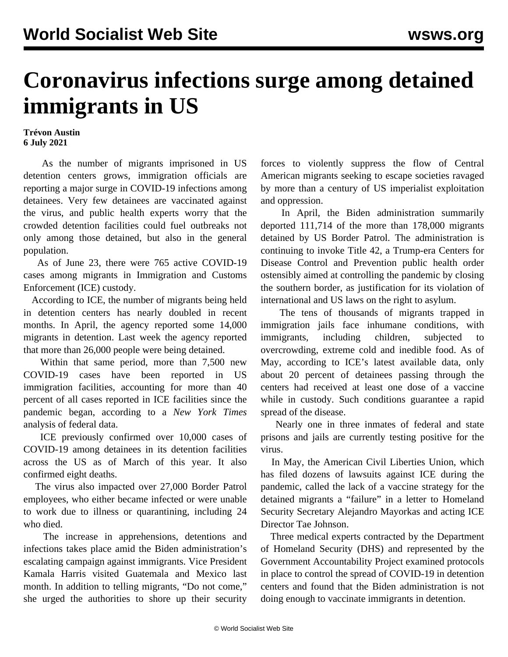## **Coronavirus infections surge among detained immigrants in US**

## **Trévon Austin 6 July 2021**

 As the number of migrants imprisoned in US detention centers grows, immigration officials are reporting a major surge in COVID-19 infections among detainees. Very few detainees are vaccinated against the virus, and public health experts worry that the crowded detention facilities could fuel outbreaks not only among those detained, but also in the general population.

 As of June 23, there were 765 active COVID-19 cases among migrants in Immigration and Customs Enforcement (ICE) custody.

 According to ICE, the number of migrants being held in detention centers has nearly doubled in recent months. In April, the agency reported some 14,000 migrants in detention. Last week the agency reported that more than 26,000 people were being detained.

 Within that same period, more than 7,500 new COVID-19 cases have been reported in US immigration facilities, accounting for more than 40 percent of all cases reported in ICE facilities since the pandemic began, according to a *New York Times* analysis of federal data.

 ICE previously confirmed over 10,000 cases of COVID-19 among detainees in its detention facilities across the US as of March of this year. It also confirmed eight deaths.

 The virus also impacted over 27,000 Border Patrol employees, who either became infected or were unable to work due to illness or quarantining, including 24 who died.

 The increase in apprehensions, detentions and infections takes place amid the Biden administration's escalating campaign against immigrants. Vice President Kamala Harris visited Guatemala and Mexico last month. In addition to telling migrants, "Do not come," she urged the authorities to shore up their security forces to violently suppress the flow of Central American migrants seeking to escape societies ravaged by more than a century of US imperialist exploitation and oppression.

 In April, the Biden administration summarily deported 111,714 of the more than 178,000 migrants detained by US Border Patrol. The administration is continuing to invoke Title 42, a Trump-era Centers for Disease Control and Prevention public health order ostensibly aimed at controlling the pandemic by closing the southern border, as justification for its violation of international and US laws on the right to asylum.

 The tens of thousands of migrants trapped in immigration jails face inhumane conditions, with immigrants, including children, subjected to overcrowding, extreme cold and inedible food. As of May, according to ICE's latest available data, only about 20 percent of detainees passing through the centers had received at least one dose of a vaccine while in custody. Such conditions guarantee a rapid spread of the disease.

 Nearly one in three inmates of federal and state prisons and jails are currently testing positive for the virus.

 In May, the American Civil Liberties Union, which has filed dozens of lawsuits against ICE during the pandemic, called the lack of a vaccine strategy for the detained migrants a "failure" in a letter to Homeland Security Secretary Alejandro Mayorkas and acting ICE Director Tae Johnson.

 Three medical experts contracted by the Department of Homeland Security (DHS) and represented by the Government Accountability Project examined protocols in place to control the spread of COVID-19 in detention centers and found that the Biden administration is not doing enough to vaccinate immigrants in detention.